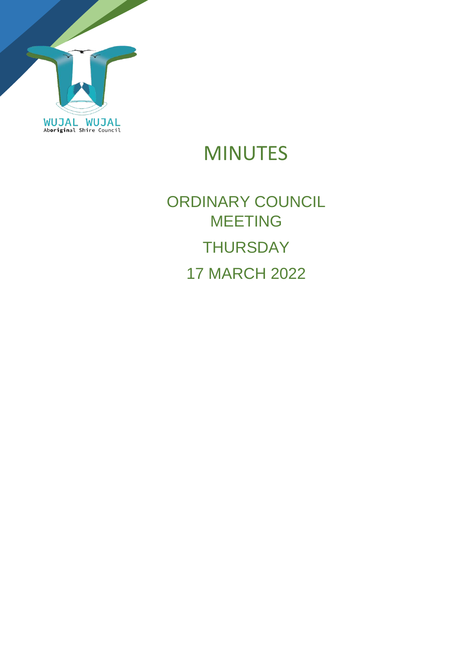

# MINUTES

# ORDINARY COUNCIL MEETING **THURSDAY** 17 MARCH 2022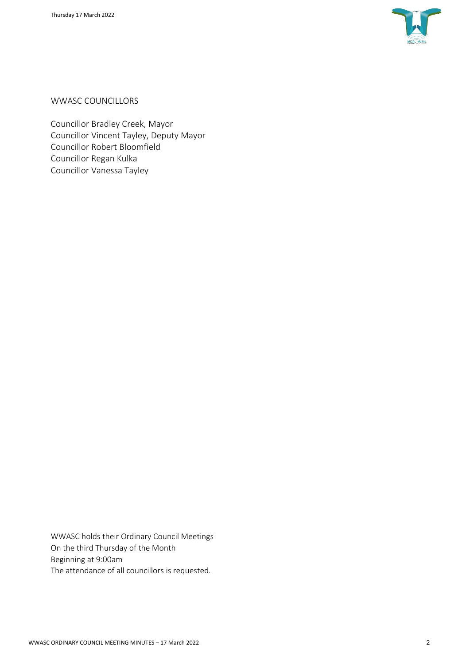

WWASC COUNCILLORS

Councillor Bradley Creek, Mayor Councillor Vincent Tayley, Deputy Mayor Councillor Robert Bloomfield Councillor Regan Kulka Councillor Vanessa Tayley

WWASC holds their Ordinary Council Meetings On the third Thursday of the Month Beginning at 9:00am The attendance of all councillors is requested.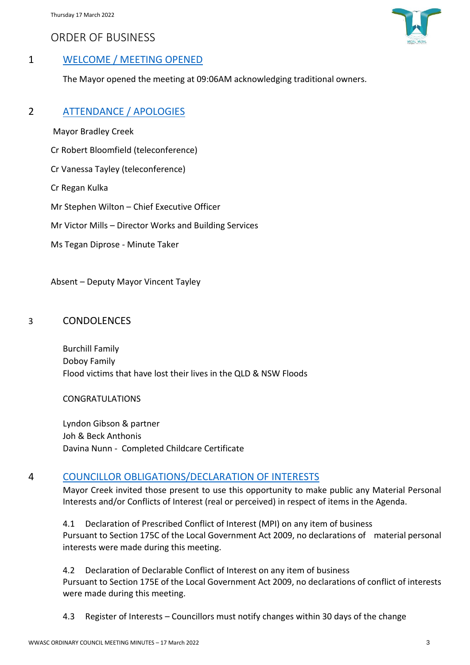ORDER OF BUSINESS



# 1 WELCOME / MEETING OPENED

The Mayor opened the meeting at 09:06AM acknowledging traditional owners.

#### 2 ATTENDANCE / APOLOGIES

Mayor Bradley Creek

Cr Robert Bloomfield (teleconference)

Cr Vanessa Tayley (teleconference)

Cr Regan Kulka

Mr Stephen Wilton – Chief Executive Officer

Mr Victor Mills – Director Works and Building Services

Ms Tegan Diprose - Minute Taker

Absent – Deputy Mayor Vincent Tayley

#### 3 CONDOLENCES

Burchill Family Doboy Family Flood victims that have lost their lives in the QLD & NSW Floods

CONGRATULATIONS

Lyndon Gibson & partner Joh & Beck Anthonis Davina Nunn - Completed Childcare Certificate

### 4 COUNCILLOR OBLIGATIONS/DECLARATION OF INTERESTS

Mayor Creek invited those present to use this opportunity to make public any Material Personal Interests and/or Conflicts of Interest (real or perceived) in respect of items in the Agenda.

4.1 Declaration of Prescribed Conflict of Interest (MPI) on any item of business Pursuant to Section 175C of the Local Government Act 2009, no declarations of material personal interests were made during this meeting.

4.2 Declaration of Declarable Conflict of Interest on any item of business Pursuant to Section 175E of the Local Government Act 2009, no declarations of conflict of interests were made during this meeting.

4.3 Register of Interests – Councillors must notify changes within 30 days of the change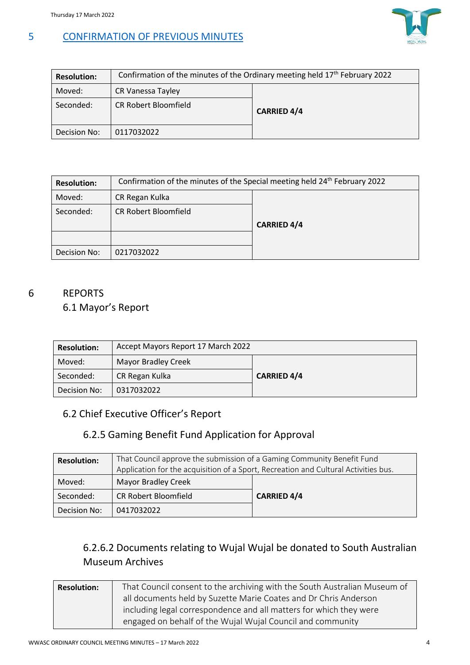

# 5 CONFIRMATION OF PREVIOUS MINUTES

| <b>Resolution:</b> | Confirmation of the minutes of the Ordinary meeting held 17th February 2022 |                    |  |
|--------------------|-----------------------------------------------------------------------------|--------------------|--|
| Moved:             | CR Vanessa Tayley                                                           |                    |  |
| Seconded:          | <b>CR Robert Bloomfield</b>                                                 | <b>CARRIED 4/4</b> |  |
| Decision No:       | 0117032022                                                                  |                    |  |

| <b>Resolution:</b> | Confirmation of the minutes of the Special meeting held 24 <sup>th</sup> February 2022 |                    |  |
|--------------------|----------------------------------------------------------------------------------------|--------------------|--|
| Moved:             | CR Regan Kulka                                                                         |                    |  |
| Seconded:          | <b>CR Robert Bloomfield</b>                                                            | <b>CARRIED 4/4</b> |  |
|                    |                                                                                        |                    |  |
| Decision No:       | 0217032022                                                                             |                    |  |

### 6 REPORTS

# 6.1 Mayor's Report

| <b>Resolution:</b> | Accept Mayors Report 17 March 2022   |  |
|--------------------|--------------------------------------|--|
| Moved:             | <b>Mayor Bradley Creek</b>           |  |
| Seconded:          | <b>CARRIED 4/4</b><br>CR Regan Kulka |  |
| Decision No:       | 0317032022                           |  |

# 6.2 Chief Executive Officer's Report

# 6.2.5 Gaming Benefit Fund Application for Approval

| <b>Resolution:</b> | That Council approve the submission of a Gaming Community Benefit Fund              |                    |  |
|--------------------|-------------------------------------------------------------------------------------|--------------------|--|
|                    | Application for the acquisition of a Sport, Recreation and Cultural Activities bus. |                    |  |
| Moved:             | <b>Mayor Bradley Creek</b>                                                          |                    |  |
| Seconded:          | <b>CR Robert Bloomfield</b>                                                         | <b>CARRIED 4/4</b> |  |
| Decision No:       | 0417032022                                                                          |                    |  |

# 6.2.6.2 Documents relating to Wujal Wujal be donated to South Australian Museum Archives

| <b>Resolution:</b>                                               | That Council consent to the archiving with the South Australian Museum of |  |
|------------------------------------------------------------------|---------------------------------------------------------------------------|--|
| all documents held by Suzette Marie Coates and Dr Chris Anderson |                                                                           |  |
|                                                                  | including legal correspondence and all matters for which they were        |  |
| engaged on behalf of the Wujal Wujal Council and community       |                                                                           |  |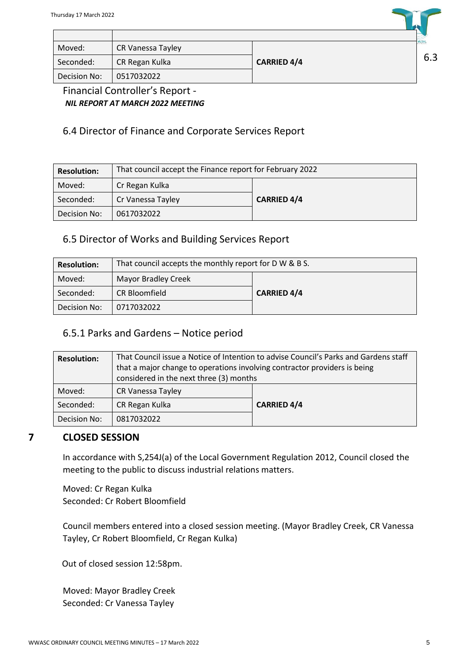| Moved:       | CR Vanessa Tayley |                    | <b>WUJAL</b> |
|--------------|-------------------|--------------------|--------------|
| Seconded:    | CR Regan Kulka    | <b>CARRIED 4/4</b> | 6.3          |
| Decision No: | 0517032022        |                    |              |

Financial Controller's Report - *NIL REPORT AT MARCH 2022 MEETING*

# 6.4 Director of Finance and Corporate Services Report

| <b>Resolution:</b> | That council accept the Finance report for February 2022 |                    |  |
|--------------------|----------------------------------------------------------|--------------------|--|
| Moved:             | Cr Regan Kulka                                           |                    |  |
| Seconded:          | Cr Vanessa Tayley                                        | <b>CARRIED 4/4</b> |  |
| Decision No:       | 0617032022                                               |                    |  |

## 6.5 Director of Works and Building Services Report

| <b>Resolution:</b> | That council accepts the monthly report for D W & B S. |                    |  |
|--------------------|--------------------------------------------------------|--------------------|--|
| Moved:             | <b>Mayor Bradley Creek</b>                             |                    |  |
| Seconded:          | <b>CR Bloomfield</b>                                   | <b>CARRIED 4/4</b> |  |
| Decision No:       | 0717032022                                             |                    |  |

### 6.5.1 Parks and Gardens – Notice period

| <b>Resolution:</b> | That Council issue a Notice of Intention to advise Council's Parks and Gardens staff<br>that a major change to operations involving contractor providers is being |                    |
|--------------------|-------------------------------------------------------------------------------------------------------------------------------------------------------------------|--------------------|
|                    | considered in the next three (3) months                                                                                                                           |                    |
| Moved:             | CR Vanessa Tayley                                                                                                                                                 |                    |
| Seconded:          | CR Regan Kulka                                                                                                                                                    | <b>CARRIED 4/4</b> |
| Decision No:       | 0817032022                                                                                                                                                        |                    |

# **7 CLOSED SESSION**

In accordance with S,254J(a) of the Local Government Regulation 2012, Council closed the meeting to the public to discuss industrial relations matters.

Moved: Cr Regan Kulka Seconded: Cr Robert Bloomfield

Council members entered into a closed session meeting. (Mayor Bradley Creek, CR Vanessa Tayley, Cr Robert Bloomfield, Cr Regan Kulka)

Out of closed session 12:58pm.

Moved: Mayor Bradley Creek Seconded: Cr Vanessa Tayley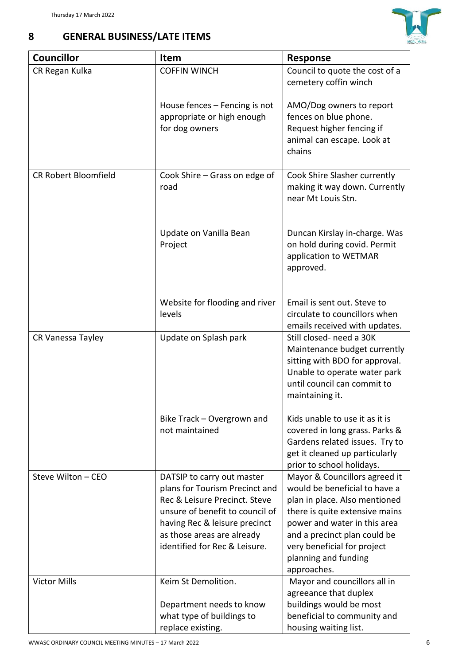

| 8 | <b>GENERAL BUSINESS/LATE ITEMS</b> |
|---|------------------------------------|
|   |                                    |

| <b>Councillor</b>           | <b>Item</b>                                                                                                                                                                                                                      | <b>Response</b>                                                                                                                                                                                                                                                         |
|-----------------------------|----------------------------------------------------------------------------------------------------------------------------------------------------------------------------------------------------------------------------------|-------------------------------------------------------------------------------------------------------------------------------------------------------------------------------------------------------------------------------------------------------------------------|
| CR Regan Kulka              | <b>COFFIN WINCH</b>                                                                                                                                                                                                              | Council to quote the cost of a<br>cemetery coffin winch                                                                                                                                                                                                                 |
|                             | House fences – Fencing is not<br>appropriate or high enough<br>for dog owners                                                                                                                                                    | AMO/Dog owners to report<br>fences on blue phone.<br>Request higher fencing if<br>animal can escape. Look at<br>chains                                                                                                                                                  |
| <b>CR Robert Bloomfield</b> | Cook Shire - Grass on edge of<br>road                                                                                                                                                                                            | Cook Shire Slasher currently<br>making it way down. Currently<br>near Mt Louis Stn.                                                                                                                                                                                     |
|                             | Update on Vanilla Bean<br>Project                                                                                                                                                                                                | Duncan Kirslay in-charge. Was<br>on hold during covid. Permit<br>application to WETMAR<br>approved.                                                                                                                                                                     |
|                             | Website for flooding and river<br>levels                                                                                                                                                                                         | Email is sent out. Steve to<br>circulate to councillors when<br>emails received with updates.                                                                                                                                                                           |
| CR Vanessa Tayley           | Update on Splash park                                                                                                                                                                                                            | Still closed- need a 30K<br>Maintenance budget currently<br>sitting with BDO for approval.<br>Unable to operate water park<br>until council can commit to<br>maintaining it.                                                                                            |
|                             | Bike Track - Overgrown and<br>not maintained                                                                                                                                                                                     | Kids unable to use it as it is<br>covered in long grass. Parks &<br>Gardens related issues. Try to<br>get it cleaned up particularly<br>prior to school holidays.                                                                                                       |
| Steve Wilton - CEO          | DATSIP to carry out master<br>plans for Tourism Precinct and<br>Rec & Leisure Precinct. Steve<br>unsure of benefit to council of<br>having Rec & leisure precinct<br>as those areas are already<br>identified for Rec & Leisure. | Mayor & Councillors agreed it<br>would be beneficial to have a<br>plan in place. Also mentioned<br>there is quite extensive mains<br>power and water in this area<br>and a precinct plan could be<br>very beneficial for project<br>planning and funding<br>approaches. |
| <b>Victor Mills</b>         | Keim St Demolition.<br>Department needs to know<br>what type of buildings to                                                                                                                                                     | Mayor and councillors all in<br>agreeance that duplex<br>buildings would be most<br>beneficial to community and                                                                                                                                                         |
|                             | replace existing.                                                                                                                                                                                                                | housing waiting list.                                                                                                                                                                                                                                                   |